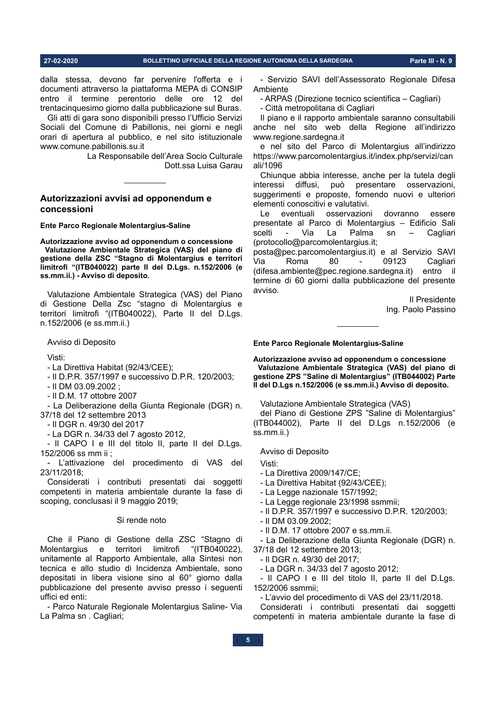27-02-2020

#### BOLLETTINO UFFICIALE DELLA REGIONE AUTONOMA DELLA SARDEGNA

dalla stessa, devono far pervenire l'offerta e i documenti attraverso la piattaforma MEPA di CONSIP entro il termine perentorio delle ore 12 del trentacinquesimo giorno dalla pubblicazione sul Buras.

Gli atti di gara sono disponibili presso l'Ufficio Servizi Sociali del Comune di Pabillonis, nei giorni e negli orari di apertura al pubblico, e nel sito istituzionale www.comune.pabillonis.su.it

> La Responsabile dell'Area Socio Culturale Dott.ssa Luisa Garau

# Autorizzazioni avvisi ad opponendum e concessioni

Ente Parco Regionale Molentargius-Saline

Autorizzazione avviso ad opponendum o concessione Valutazione Ambientale Strategica (VAS) del piano di gestione della ZSC "Stagno di Molentargius e territori limitrofi "(ITB040022) parte II del D.Lgs. n.152/2006 (e ss.mm.ii.) - Avviso di deposito.

Valutazione Ambientale Strategica (VAS) del Piano di Gestione Della Zsc "stagno di Molentargius e territori limitrofi "(ITB040022), Parte II del D.Lgs. n.152/2006 (e ss.mm.ii.)

Avviso di Deposito

Visti:

- La Direttiva Habitat (92/43/CEE);

- Il D.P.R. 357/1997 e successivo D.P.R. 120/2003;

- II DM 03.09.2002;

- II D.M. 17 ottobre 2007

- La Deliberazione della Giunta Regionale (DGR) n. 37/18 del 12 settembre 2013

- Il DGR n. 49/30 del 2017

- La DGR n. 34/33 del 7 agosto 2012,

- Il CAPO I e III del titolo II, parte II del D.Lgs. 152/2006 ss mm ii :

- L'attivazione del procedimento di VAS del 23/11/2018:

Considerati i contributi presentati dai soggetti competenti in materia ambientale durante la fase di scoping, conclusasi il 9 maggio 2019;

#### Si rende noto

Che il Piano di Gestione della ZSC "Stagno di limitrofi "(ITB040022). Molentargius e territori unitamente al Rapporto Ambientale, alla Sintesi non tecnica e allo studio di Incidenza Ambientale, sono depositati in libera visione sino al 60° giorno dalla pubblicazione del presente avviso presso i seguenti uffici ed enti:

- Parco Naturale Regionale Molentargius Saline- Via La Palma sn. Cagliari;

- Servizio SAVI dell'Assessorato Regionale Difesa Ambiente

- ARPAS (Direzione tecnico scientifica - Cagliari)

- Città metropolitana di Cagliari

Il piano e il rapporto ambientale saranno consultabili anche nel sito web della Regione all'indirizzo www.regione.sardegna.it

e nel sito del Parco di Molentargius all'indirizzo https://www.parcomolentargius.it/index.php/servizi/can ali/1096

Chiunque abbia interesse, anche per la tutela degli interessi diffusi, può presentare osservazioni, suggerimenti e proposte, fornendo nuovi e ulteriori elementi conoscitivi e valutativi.

Le l eventuali osservazioni dovranno essere presentate al Parco di Molentargius - Edificio Sali scelti Via La Palma  $sn$ Cagliari (protocollo@parcomolentargius.it;

posta@pec.parcomolentargius.it) e al Servizio SAVI Via Roma 80 09123 Cagliari (difesa.ambiente@pec.regione.sardegna.it) entro il termine di 60 giorni dalla pubblicazione del presente avviso.

Il Presidente Ing. Paolo Passino

Ente Parco Regionale Molentargius-Saline

Autorizzazione avviso ad opponendum o concessione Valutazione Ambientale Strategica (VAS) del piano di gestione ZPS "Saline di Molentargius" (ITB044002) Parte Il del D.Lgs n.152/2006 (e ss.mm.ii.) Avviso di deposito.

Valutazione Ambientale Strategica (VAS)

del Piano di Gestione ZPS "Saline di Molentargius" (ITB044002), Parte II del D.Lgs n.152/2006 (e  $ss.mm.ii.$ )

Avviso di Deposito

**Victi** 

- La Direttiva 2009/147/CE;
- La Direttiva Habitat (92/43/CEE);
- La Legge nazionale 157/1992;
- La Legge regionale 23/1998 ssmmii;
- Il D.P.R. 357/1997 e successivo D.P.R. 120/2003;
- II DM 03.09.2002:
- Il D.M. 17 ottobre 2007 e ss.mm.ii.

- La Deliberazione della Giunta Regionale (DGR) n. 37/18 del 12 settembre 2013;

- Il DGR n. 49/30 del 2017;
- La DGR n. 34/33 del 7 agosto 2012;

- Il CAPO I e III del titolo II, parte II del D.Lgs. 152/2006 ssmmii;

- L'avvio del procedimento di VAS del 23/11/2018.

Considerati i contributi presentati dai soggetti competenti in materia ambientale durante la fase di